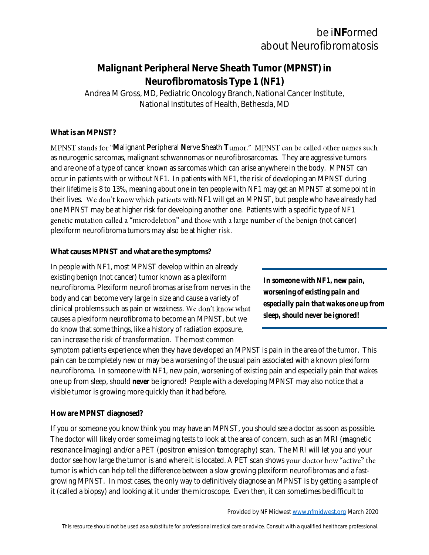# be i**NF**ormed about Neurofibromatosis

# **Malignant Peripheral Nerve Sheath Tumor (MPNST) in Neurofibromatosis Type 1 (NF1)** Andrea M Gross, MD, Pediatric Oncology Branch, National Cancer Institute, National Institutes of Health, Bethesda, MD

#### **What is an MPNST?**

**MPNST** stands for "Malignant Peripheral Nerve Sheath Tumor." MPNST can be called other names such as neurogenic sarcomas, malignant schwannomas or neurofibrosarcomas. They are aggressive tumors and are one of a type of cancer known as sarcomas which can arise anywhere in the body. MPNST can occur in patients with or without NF1. In patients with NF1, the risk of developing an MPNST during their lifetime is 8 to 13%, meaning about one in ten people with NF1 may get an MPNST at some point in their lives. We don't know which patients with NF1 will get an MPNST, but people who have already had one MPNST may be at higher risk for developing another one. Patients with a specific type of NF1 genetic mutation called a "microdeletion" and those with a large number of the benign (not cancer) plexiform neurofibroma tumors may also be at higher risk.

#### **What causes MPNST and what are the symptoms?**

In people with NF1, most MPNST develop within an already existing benign (not cancer) tumor known as a plexiform neurofibroma. Plexiform neurofibromas arise from nerves in the body and can become very large in size and cause a variety of clinical problems such as pain or weakness. We don't know what causes a plexiform neurofibroma to become an MPNST, but we do know that some things, like a history of radiation exposure, can increase the risk of transformation. The most common

*In someone with NF1, new pain, worsening of existing pain and especially pain that wakes one up from sleep, should never be ignored!*

symptom patients experience when they have developed an MPNST is pain in the area of the tumor. This pain can be completely new or may be a worsening of the usual pain associated with a known plexiform neurofibroma. In someone with NF1, new pain, worsening of existing pain and especially pain that wakes one up from sleep, should *never* be ignored! People with a developing MPNST may also notice that a visible tumor is growing more quickly than it had before.

#### **How are MPNST diagnosed?**

If you or someone you know think you may have an MPNST, you should see a doctor as soon as possible. The doctor will likely order some imaging tests to look at the area of concern, such as an MRI (**m**agnetic **r**esonance **i**maging) and/or a PET (**p**ositron **e**mission **t**omography) scan. The MRI will let you and your doctor see how large the tumor is and where it is located. A PET scan shows your doctor how "active" the tumor is which can help tell the difference between a slow growing plexiform neurofibromas and a fastgrowing MPNST. In most cases, the only way to definitively diagnose an MPNST is by getting a sample of it (called a biopsy) and looking at it under the microscope. Even then, it can sometimes be difficult to